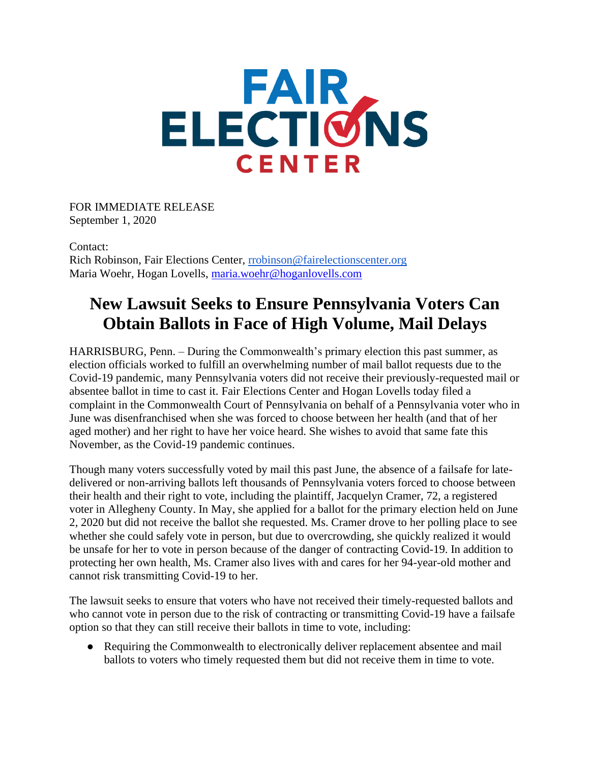## **ELECTIONS CENTER**

FOR IMMEDIATE RELEASE September 1, 2020

Contact: Rich Robinson, Fair Elections Center, [rrobinson@fairelectionscenter.org](mailto:rrobinson@fairelectionscenter.org) Maria Woehr, Hogan Lovells, [maria.woehr@hoganlovells.com](mailto:maria.woehr@hoganlovells.com)

## **New Lawsuit Seeks to Ensure Pennsylvania Voters Can Obtain Ballots in Face of High Volume, Mail Delays**

HARRISBURG, Penn. – During the Commonwealth's primary election this past summer, as election officials worked to fulfill an overwhelming number of mail ballot requests due to the Covid-19 pandemic, many Pennsylvania voters did not receive their previously-requested mail or absentee ballot in time to cast it. Fair Elections Center and Hogan Lovells today filed a complaint in the Commonwealth Court of Pennsylvania on behalf of a Pennsylvania voter who in June was disenfranchised when she was forced to choose between her health (and that of her aged mother) and her right to have her voice heard. She wishes to avoid that same fate this November, as the Covid-19 pandemic continues.

Though many voters successfully voted by mail this past June, the absence of a failsafe for latedelivered or non-arriving ballots left thousands of Pennsylvania voters forced to choose between their health and their right to vote, including the plaintiff, Jacquelyn Cramer, 72, a registered voter in Allegheny County. In May, she applied for a ballot for the primary election held on June 2, 2020 but did not receive the ballot she requested. Ms. Cramer drove to her polling place to see whether she could safely vote in person, but due to overcrowding, she quickly realized it would be unsafe for her to vote in person because of the danger of contracting Covid-19. In addition to protecting her own health, Ms. Cramer also lives with and cares for her 94-year-old mother and cannot risk transmitting Covid-19 to her.

The lawsuit seeks to ensure that voters who have not received their timely-requested ballots and who cannot vote in person due to the risk of contracting or transmitting Covid-19 have a failsafe option so that they can still receive their ballots in time to vote, including:

● Requiring the Commonwealth to electronically deliver replacement absentee and mail ballots to voters who timely requested them but did not receive them in time to vote.